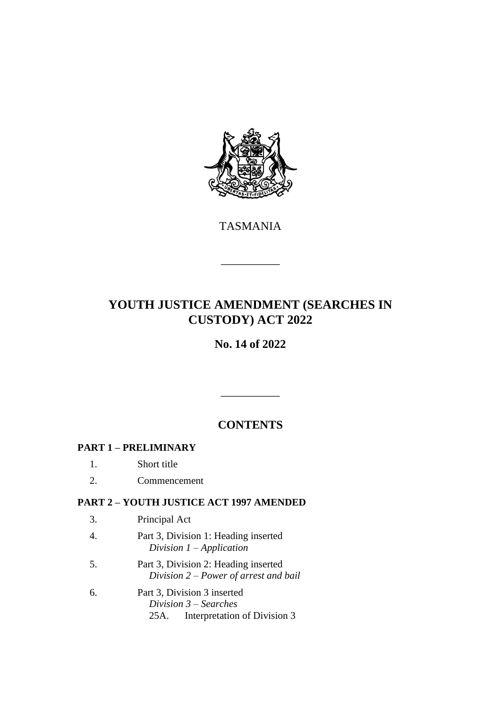

TASMANIA

\_\_\_\_\_\_\_\_\_\_

# **YOUTH JUSTICE AMENDMENT (SEARCHES IN CUSTODY) ACT 2022**

# **No. 14 of 2022**

# **CONTENTS**

\_\_\_\_\_\_\_\_\_\_

# **PART 1 – PRELIMINARY**

- 1. Short title
- 2. Commencement

### **PART 2 – YOUTH JUSTICE ACT 1997 AMENDED**

- 3. Principal Act
- 4. Part 3, Division 1: Heading inserted *Division 1 – Application*
- 5. Part 3, Division 2: Heading inserted *Division 2 – Power of arrest and bail*
- 6. Part 3, Division 3 inserted *Division 3 – Searches* 25A. Interpretation of Division 3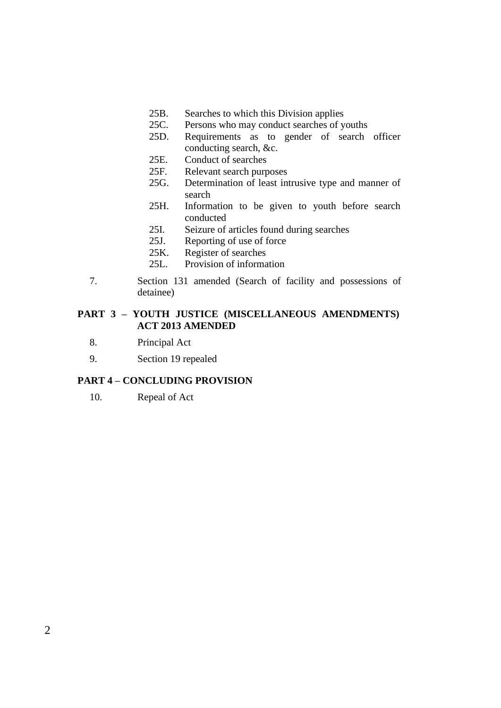- 25B. Searches to which this Division applies<br>25C. Persons who may conduct searches of y
- 25C. Persons who may conduct searches of youths<br>25D. Requirements as to gender of search
- Requirements as to gender of search officer conducting search, &c.
- 25E. Conduct of searches
- 25F. Relevant search purposes<br>25G. Determination of least in
- Determination of least intrusive type and manner of search
- 25H. Information to be given to youth before search conducted
- 25I. Seizure of articles found during searches
- 25J. Reporting of use of force
- 25K. Register of searches<br>25L. Provision of informa
- Provision of information
- 7. Section 131 amended (Search of facility and possessions of detainee)

#### **PART 3 – YOUTH JUSTICE (MISCELLANEOUS AMENDMENTS) ACT 2013 AMENDED**

- 8. Principal Act
- 9. Section 19 repealed

#### **PART 4 – CONCLUDING PROVISION**

10. Repeal of Act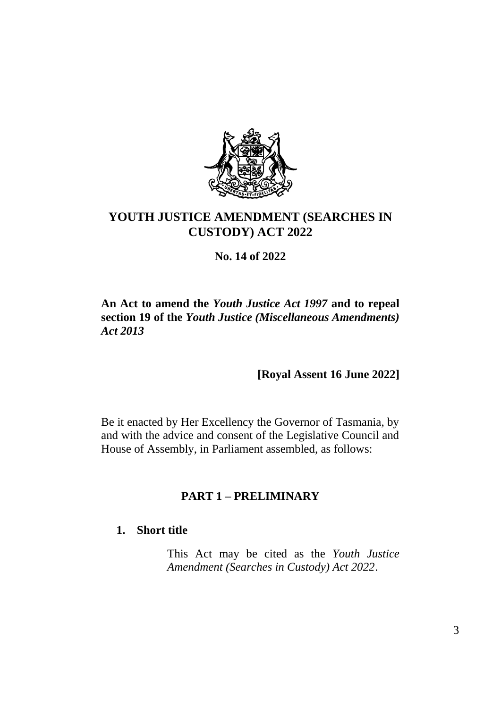

# **YOUTH JUSTICE AMENDMENT (SEARCHES IN CUSTODY) ACT 2022**

**No. 14 of 2022**

# **An Act to amend the** *Youth Justice Act 1997* **and to repeal section 19 of the** *Youth Justice (Miscellaneous Amendments) Act 2013*

**[Royal Assent 16 June 2022]**

Be it enacted by Her Excellency the Governor of Tasmania, by and with the advice and consent of the Legislative Council and House of Assembly, in Parliament assembled, as follows:

# **PART 1 – PRELIMINARY**

# **1. Short title**

This Act may be cited as the *Youth Justice Amendment (Searches in Custody) Act 2022*.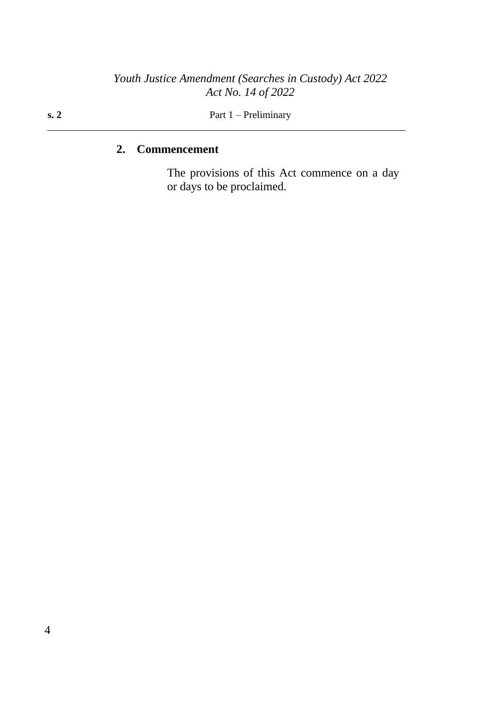#### **s. 2** Part 1 – Preliminary

# **2. Commencement**

The provisions of this Act commence on a day or days to be proclaimed.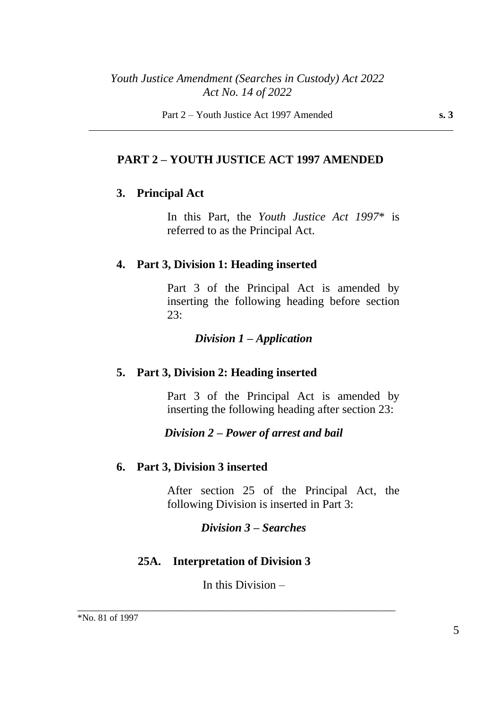# **PART 2 – YOUTH JUSTICE ACT 1997 AMENDED**

# **3. Principal Act**

In this Part, the *Youth Justice Act 1997*\* is referred to as the Principal Act.

### **4. Part 3, Division 1: Heading inserted**

Part 3 of the Principal Act is amended by inserting the following heading before section 23:

#### *Division 1 – Application*

### **5. Part 3, Division 2: Heading inserted**

Part 3 of the Principal Act is amended by inserting the following heading after section 23:

### *Division 2 – Power of arrest and bail*

#### **6. Part 3, Division 3 inserted**

After section 25 of the Principal Act, the following Division is inserted in Part 3:

### *Division 3 – Searches*

### **25A. Interpretation of Division 3**

In this Division –

\_\_\_\_\_\_\_\_\_\_\_\_\_\_\_\_\_\_\_\_\_\_\_\_\_\_\_\_\_\_\_\_\_\_\_\_\_\_\_\_\_\_\_\_\_\_\_\_\_\_\_\_\_\_\_\_\_\_\_\_\_\_\_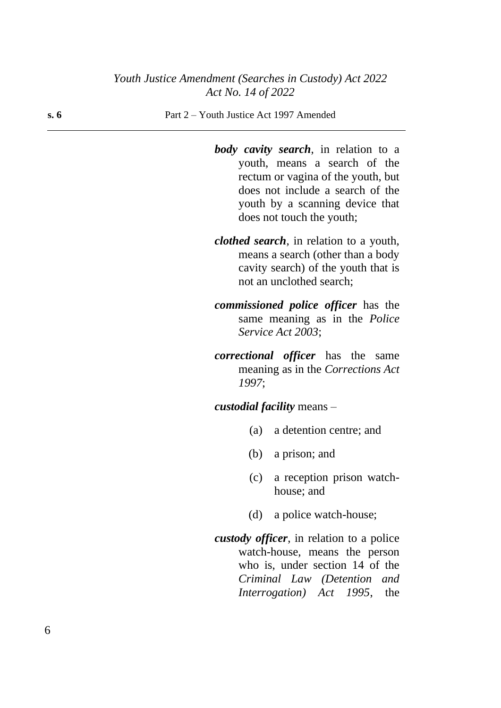**s. 6** Part 2 – Youth Justice Act 1997 Amended

*body cavity search*, in relation to a youth, means a search of the rectum or vagina of the youth, but does not include a search of the youth by a scanning device that does not touch the youth;

- *clothed search*, in relation to a youth, means a search (other than a body cavity search) of the youth that is not an unclothed search;
- *commissioned police officer* has the same meaning as in the *Police Service Act 2003*;
- *correctional officer* has the same meaning as in the *Corrections Act 1997*;

*custodial facility* means –

- (a) a detention centre; and
- (b) a prison; and
- (c) a reception prison watchhouse; and
- (d) a police watch-house;
- *custody officer*, in relation to a police watch-house, means the person who is, under section 14 of the *Criminal Law (Detention and Interrogation) Act 1995*, the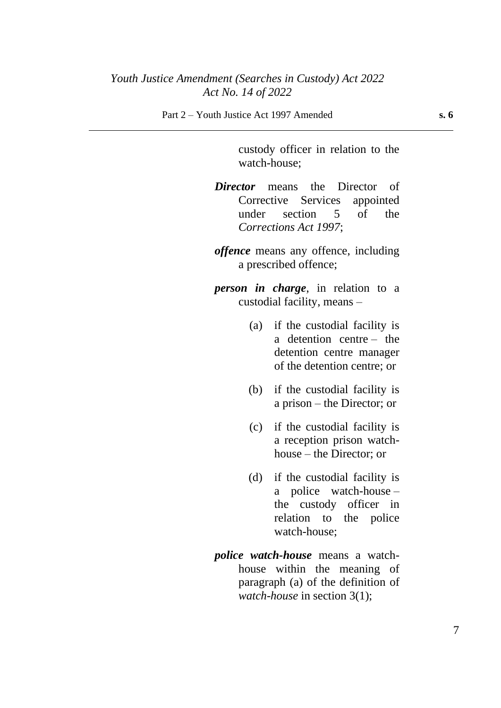custody officer in relation to the watch-house;

*Director* means the Director of Corrective Services appointed under section 5 of the *Corrections Act 1997*;

*offence* means any offence, including a prescribed offence;

*person in charge*, in relation to a custodial facility, means –

- (a) if the custodial facility is a detention centre – the detention centre manager of the detention centre; or
- (b) if the custodial facility is a prison – the Director; or
- (c) if the custodial facility is a reception prison watchhouse – the Director; or
- (d) if the custodial facility is a police watch-house – the custody officer in relation to the police watch-house;
- *police watch-house* means a watchhouse within the meaning of paragraph (a) of the definition of *watch-house* in section 3(1);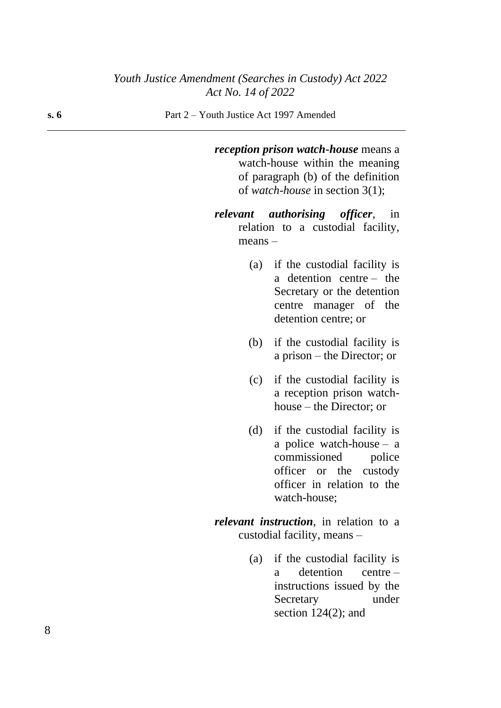#### **s. 6** Part 2 – Youth Justice Act 1997 Amended

*reception prison watch-house* means a watch-house within the meaning of paragraph (b) of the definition of *watch-house* in section 3(1);

- *relevant authorising officer*, in relation to a custodial facility, means –
	- (a) if the custodial facility is a detention centre – the Secretary or the detention centre manager of the detention centre; or
	- (b) if the custodial facility is a prison – the Director; or
	- (c) if the custodial facility is a reception prison watchhouse – the Director; or
	- (d) if the custodial facility is a police watch-house – a commissioned police officer or the custody officer in relation to the watch-house;
- *relevant instruction*, in relation to a custodial facility, means –
	- (a) if the custodial facility is a detention centre – instructions issued by the Secretary under section  $124(2)$ ; and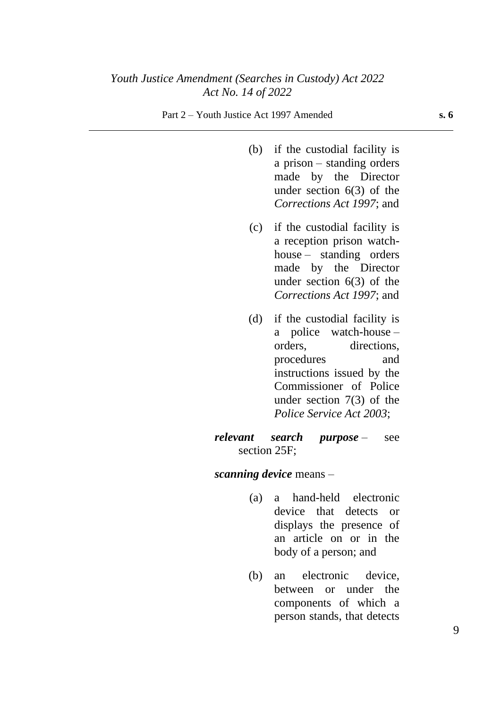- (b) if the custodial facility is a prison – standing orders made by the Director under section 6(3) of the *Corrections Act 1997*; and
- (c) if the custodial facility is a reception prison watchhouse – standing orders made by the Director under section 6(3) of the *Corrections Act 1997*; and
- (d) if the custodial facility is a police watch-house – orders, directions, procedures and instructions issued by the Commissioner of Police under section 7(3) of the *Police Service Act 2003*;

#### *relevant search purpose* – see section 25F;

#### *scanning device* means –

- (a) a hand-held electronic device that detects or displays the presence of an article on or in the body of a person; and
- (b) an electronic device, between or under the components of which a person stands, that detects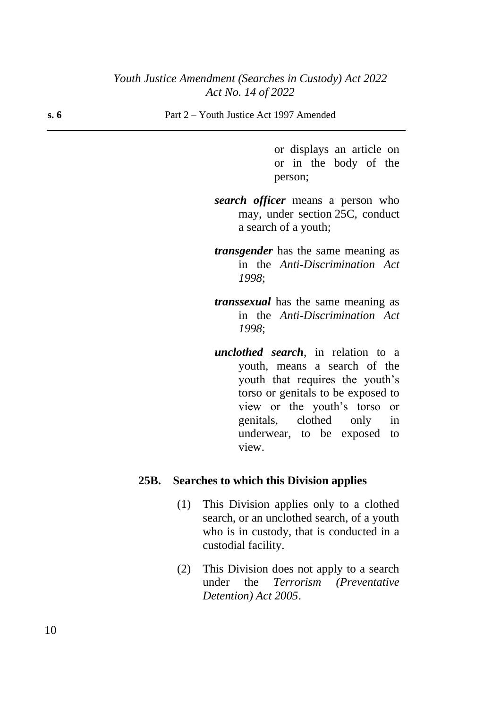**s. 6** Part 2 – Youth Justice Act 1997 Amended

or displays an article on or in the body of the person;

- *search officer* means a person who may, under section 25C, conduct a search of a youth;
- *transgender* has the same meaning as in the *Anti-Discrimination Act 1998*;
- *transsexual* has the same meaning as in the *Anti-Discrimination Act 1998*;
- *unclothed search*, in relation to a youth, means a search of the youth that requires the youth's torso or genitals to be exposed to view or the youth's torso or genitals, clothed only in underwear, to be exposed to view.

#### **25B. Searches to which this Division applies**

- (1) This Division applies only to a clothed search, or an unclothed search, of a youth who is in custody, that is conducted in a custodial facility.
- (2) This Division does not apply to a search under the *Terrorism (Preventative Detention) Act 2005*.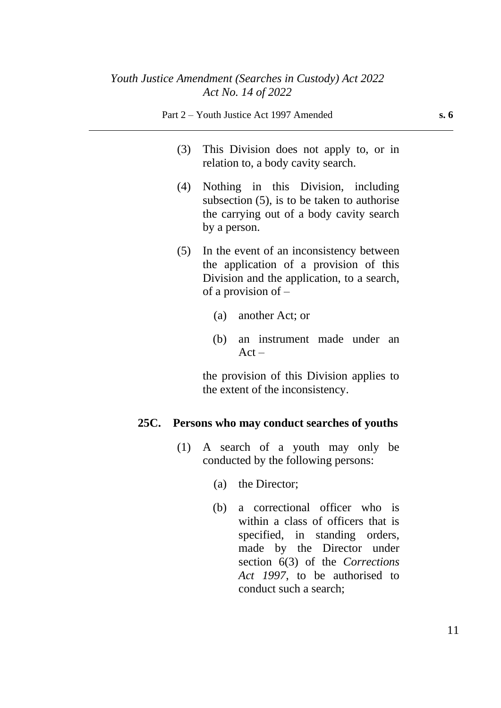- (3) This Division does not apply to, or in relation to, a body cavity search.
- (4) Nothing in this Division, including subsection (5), is to be taken to authorise the carrying out of a body cavity search by a person.
- (5) In the event of an inconsistency between the application of a provision of this Division and the application, to a search, of a provision of –
	- (a) another Act; or
	- (b) an instrument made under an  $Act -$

the provision of this Division applies to the extent of the inconsistency.

### **25C. Persons who may conduct searches of youths**

- (1) A search of a youth may only be conducted by the following persons:
	- (a) the Director;
	- (b) a correctional officer who is within a class of officers that is specified, in standing orders, made by the Director under section 6(3) of the *Corrections Act 1997*, to be authorised to conduct such a search;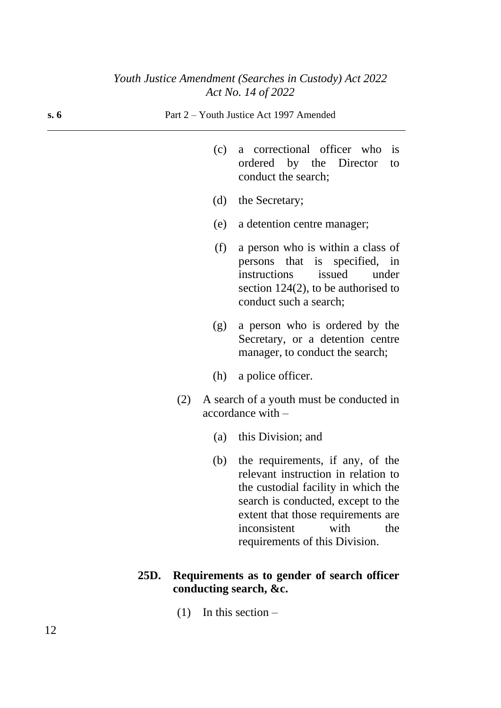| s. 6 | Part 2 – Youth Justice Act 1997 Amended                                                                                                                                                                                                                            |  |  |  |
|------|--------------------------------------------------------------------------------------------------------------------------------------------------------------------------------------------------------------------------------------------------------------------|--|--|--|
|      | a correctional officer who<br>(c)<br><i>is</i><br>ordered by the Director<br>to<br>conduct the search;                                                                                                                                                             |  |  |  |
|      | (d)<br>the Secretary;                                                                                                                                                                                                                                              |  |  |  |
|      | (e)<br>a detention centre manager;                                                                                                                                                                                                                                 |  |  |  |
|      | (f)<br>a person who is within a class of<br>persons that is specified, in<br>issued<br>instructions<br>under<br>section $124(2)$ , to be authorised to<br>conduct such a search;                                                                                   |  |  |  |
|      | a person who is ordered by the<br>(g)<br>Secretary, or a detention centre<br>manager, to conduct the search;                                                                                                                                                       |  |  |  |
|      | a police officer.<br>(h)                                                                                                                                                                                                                                           |  |  |  |
|      | A search of a youth must be conducted in<br>(2)<br>accordance with -                                                                                                                                                                                               |  |  |  |
|      | this Division; and<br>(a)                                                                                                                                                                                                                                          |  |  |  |
|      | the requirements, if any, of the<br>(b)<br>relevant instruction in relation to<br>the custodial facility in which the<br>search is conducted, except to the<br>extent that those requirements are<br>inconsistent<br>with<br>the<br>requirements of this Division. |  |  |  |
|      | Requirements as to gender of search officer<br>25D.                                                                                                                                                                                                                |  |  |  |

(1) In this section –

**conducting search, &c.**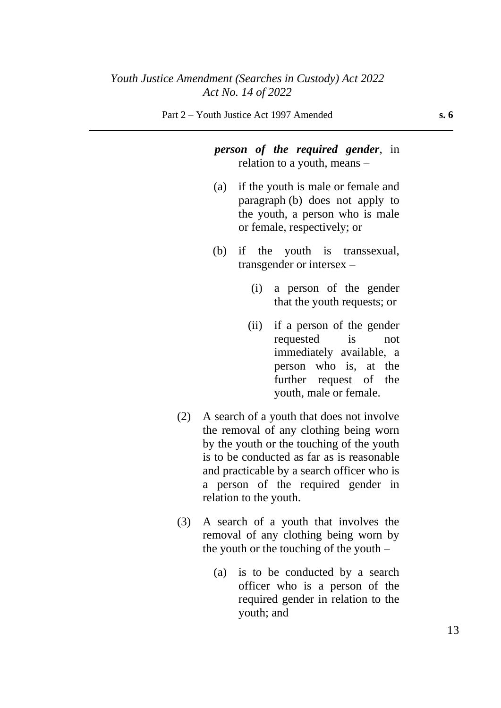# *person of the required gender*, in relation to a youth, means –

- (a) if the youth is male or female and paragraph (b) does not apply to the youth, a person who is male or female, respectively; or
- (b) if the youth is transsexual, transgender or intersex –
	- (i) a person of the gender that the youth requests; or
	- (ii) if a person of the gender requested is not immediately available, a person who is, at the further request of the youth, male or female.
- (2) A search of a youth that does not involve the removal of any clothing being worn by the youth or the touching of the youth is to be conducted as far as is reasonable and practicable by a search officer who is a person of the required gender in relation to the youth.
- (3) A search of a youth that involves the removal of any clothing being worn by the youth or the touching of the youth –
	- (a) is to be conducted by a search officer who is a person of the required gender in relation to the youth; and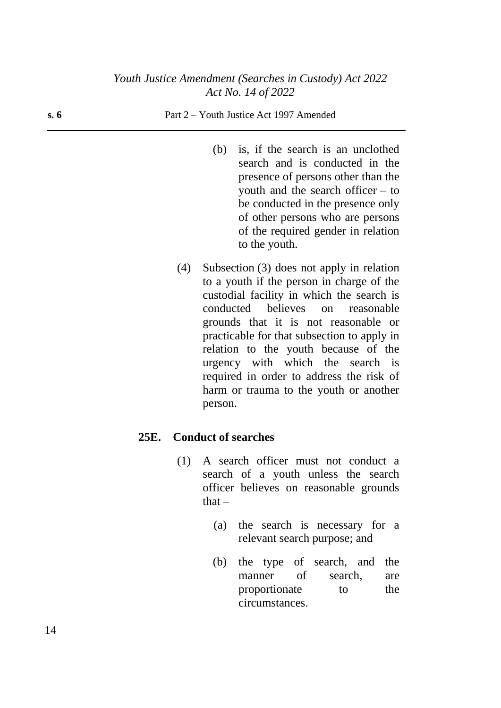#### **s. 6** Part 2 – Youth Justice Act 1997 Amended

- (b) is, if the search is an unclothed search and is conducted in the presence of persons other than the youth and the search officer – to be conducted in the presence only of other persons who are persons of the required gender in relation to the youth.
- (4) Subsection (3) does not apply in relation to a youth if the person in charge of the custodial facility in which the search is conducted believes on reasonable grounds that it is not reasonable or practicable for that subsection to apply in relation to the youth because of the urgency with which the search is required in order to address the risk of harm or trauma to the youth or another person.

#### **25E. Conduct of searches**

- (1) A search officer must not conduct a search of a youth unless the search officer believes on reasonable grounds  $that -$ 
	- (a) the search is necessary for a relevant search purpose; and
	- (b) the type of search, and the manner of search, are proportionate to the circumstances.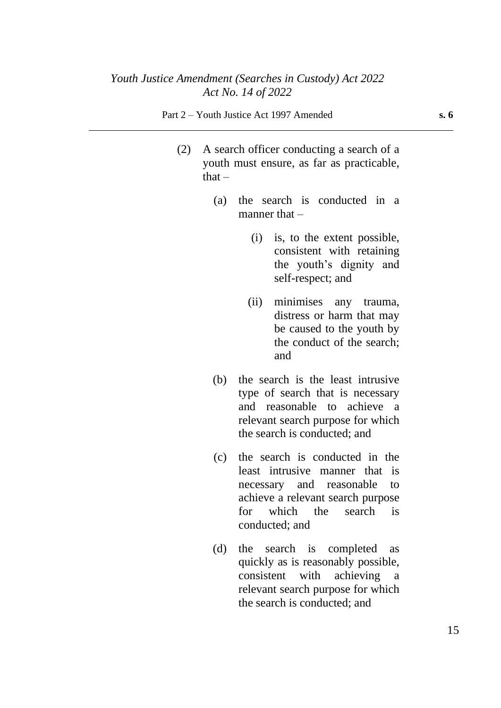#### Part 2 – Youth Justice Act 1997 Amended **s. 6**

- (2) A search officer conducting a search of a youth must ensure, as far as practicable, that  $-$ 
	- (a) the search is conducted in a manner that  $-$ 
		- (i) is, to the extent possible, consistent with retaining the youth's dignity and self-respect; and
		- (ii) minimises any trauma, distress or harm that may be caused to the youth by the conduct of the search; and
	- (b) the search is the least intrusive type of search that is necessary and reasonable to achieve a relevant search purpose for which the search is conducted; and
	- (c) the search is conducted in the least intrusive manner that is necessary and reasonable to achieve a relevant search purpose for which the search is conducted; and
	- (d) the search is completed as quickly as is reasonably possible, consistent with achieving a relevant search purpose for which the search is conducted; and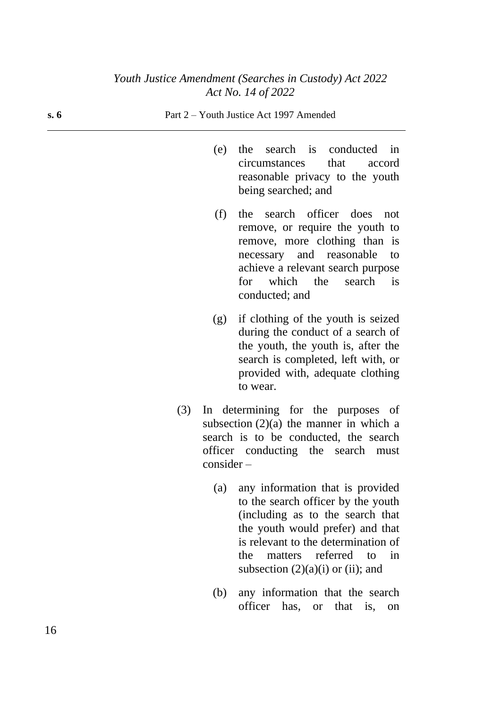| s.6 | Part 2 – Youth Justice Act 1997 Amended                                                                                                                                                                                                |  |  |  |
|-----|----------------------------------------------------------------------------------------------------------------------------------------------------------------------------------------------------------------------------------------|--|--|--|
|     | the search is conducted in<br>(e)<br>that<br>circumstances<br>accord<br>reasonable privacy to the youth<br>being searched; and                                                                                                         |  |  |  |
|     | search officer does<br>(f)<br>the<br>not<br>remove, or require the youth to<br>remove, more clothing than is<br>necessary and reasonable<br>to<br>achieve a relevant search purpose<br>which the search<br>for<br>is<br>conducted; and |  |  |  |
|     | if clothing of the youth is seized<br>(g)<br>during the conduct of a search of<br>the youth, the youth is, after the<br>search is completed, left with, or<br>provided with, adequate clothing<br>to wear.                             |  |  |  |
|     | In determining for the purposes<br>of<br>(3)                                                                                                                                                                                           |  |  |  |

- subsection  $(2)(a)$  the manner in which a search is to be conducted, the search officer conducting the search must consider –
	- (a) any information that is provided to the search officer by the youth (including as to the search that the youth would prefer) and that is relevant to the determination of the matters referred to in subsection  $(2)(a)(i)$  or (ii); and
	- (b) any information that the search officer has, or that is, on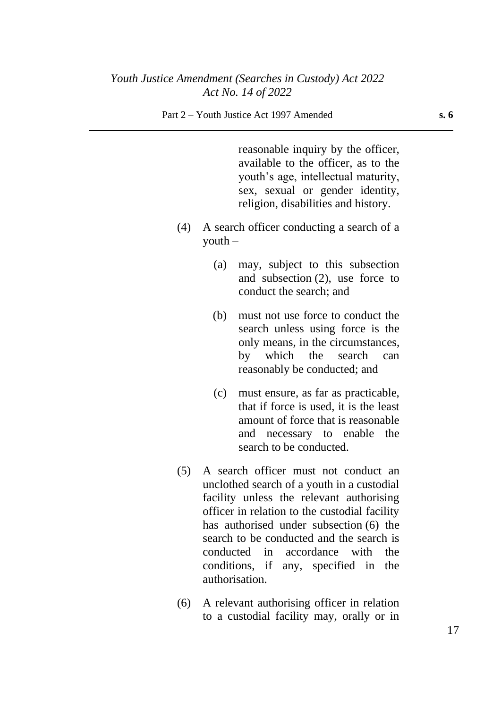#### Part 2 – Youth Justice Act 1997 Amended **s. 6**

reasonable inquiry by the officer, available to the officer, as to the youth's age, intellectual maturity, sex, sexual or gender identity, religion, disabilities and history.

- (4) A search officer conducting a search of a  $y$ outh –
	- (a) may, subject to this subsection and subsection (2), use force to conduct the search; and
	- (b) must not use force to conduct the search unless using force is the only means, in the circumstances, by which the search can reasonably be conducted; and
	- (c) must ensure, as far as practicable, that if force is used, it is the least amount of force that is reasonable and necessary to enable the search to be conducted.
- (5) A search officer must not conduct an unclothed search of a youth in a custodial facility unless the relevant authorising officer in relation to the custodial facility has authorised under subsection (6) the search to be conducted and the search is conducted in accordance with the conditions, if any, specified in the authorisation.
- (6) A relevant authorising officer in relation to a custodial facility may, orally or in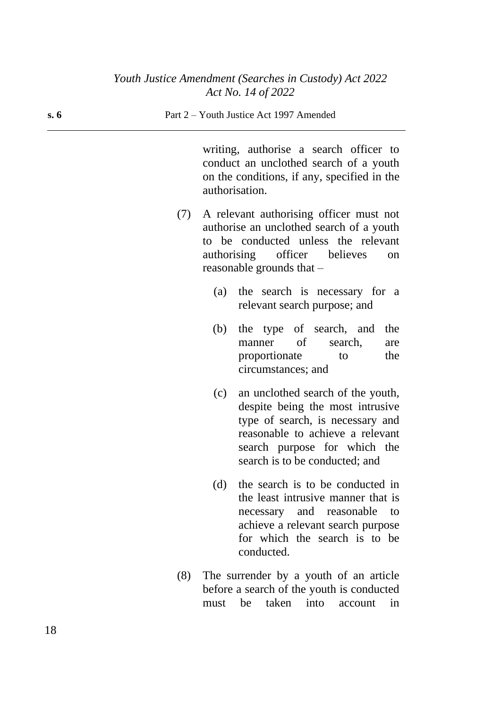#### **s. 6** Part 2 – Youth Justice Act 1997 Amended

writing, authorise a search officer to conduct an unclothed search of a youth on the conditions, if any, specified in the authorisation.

- (7) A relevant authorising officer must not authorise an unclothed search of a youth to be conducted unless the relevant authorising officer believes on reasonable grounds that –
	- (a) the search is necessary for a relevant search purpose; and
	- (b) the type of search, and the manner of search, are proportionate to the circumstances; and
	- (c) an unclothed search of the youth, despite being the most intrusive type of search, is necessary and reasonable to achieve a relevant search purpose for which the search is to be conducted; and
	- (d) the search is to be conducted in the least intrusive manner that is necessary and reasonable to achieve a relevant search purpose for which the search is to be conducted.
- (8) The surrender by a youth of an article before a search of the youth is conducted must be taken into account in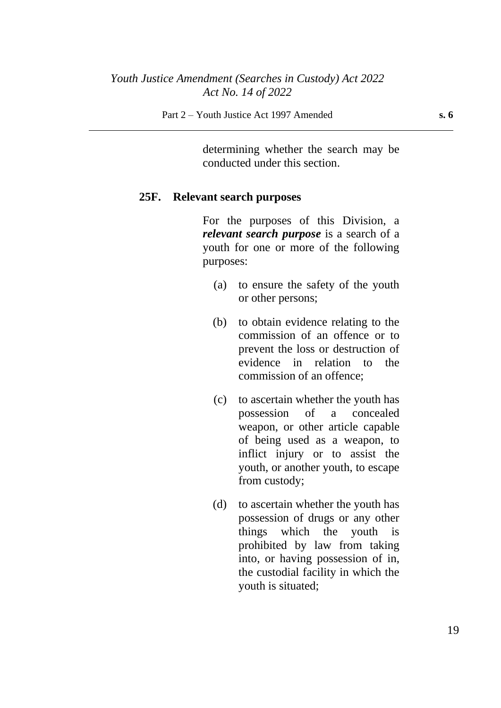determining whether the search may be conducted under this section.

#### **25F. Relevant search purposes**

For the purposes of this Division, a *relevant search purpose* is a search of a youth for one or more of the following purposes:

- (a) to ensure the safety of the youth or other persons;
- (b) to obtain evidence relating to the commission of an offence or to prevent the loss or destruction of evidence in relation to the commission of an offence;
- (c) to ascertain whether the youth has possession of a concealed weapon, or other article capable of being used as a weapon, to inflict injury or to assist the youth, or another youth, to escape from custody;
- (d) to ascertain whether the youth has possession of drugs or any other things which the youth is prohibited by law from taking into, or having possession of in, the custodial facility in which the youth is situated;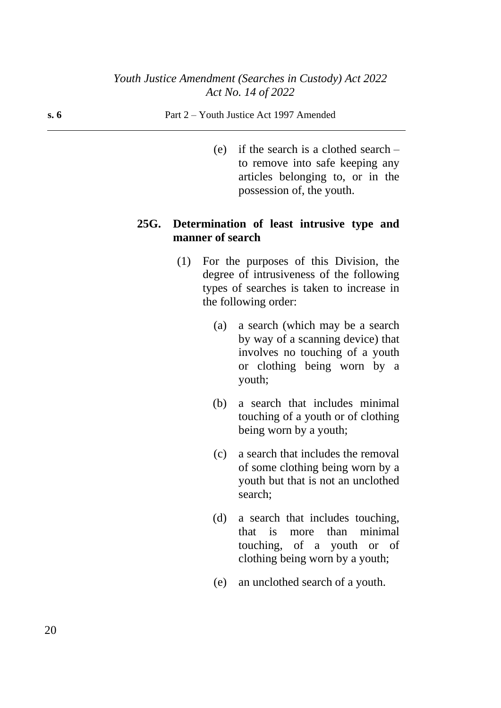#### **s. 6** Part 2 – Youth Justice Act 1997 Amended

(e) if the search is a clothed search – to remove into safe keeping any articles belonging to, or in the possession of, the youth.

# **25G. Determination of least intrusive type and manner of search**

- (1) For the purposes of this Division, the degree of intrusiveness of the following types of searches is taken to increase in the following order:
	- (a) a search (which may be a search by way of a scanning device) that involves no touching of a youth or clothing being worn by a youth;
	- (b) a search that includes minimal touching of a youth or of clothing being worn by a youth;
	- (c) a search that includes the removal of some clothing being worn by a youth but that is not an unclothed search;
	- (d) a search that includes touching, that is more than minimal touching, of a youth or of clothing being worn by a youth;
	- (e) an unclothed search of a youth.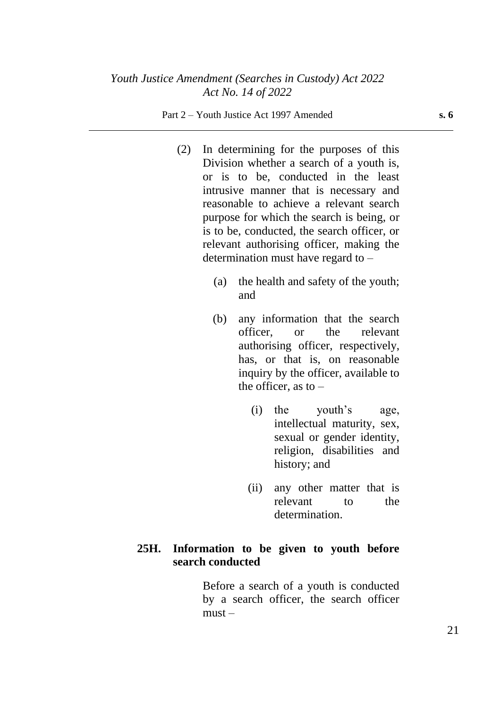#### Part 2 – Youth Justice Act 1997 Amended **s. 6**

- (2) In determining for the purposes of this Division whether a search of a youth is, or is to be, conducted in the least intrusive manner that is necessary and reasonable to achieve a relevant search purpose for which the search is being, or is to be, conducted, the search officer, or relevant authorising officer, making the determination must have regard to –
	- (a) the health and safety of the youth; and
	- (b) any information that the search officer, or the relevant authorising officer, respectively, has, or that is, on reasonable inquiry by the officer, available to the officer, as to  $-$ 
		- (i) the youth's age, intellectual maturity, sex, sexual or gender identity, religion, disabilities and history; and
		- (ii) any other matter that is relevant to the determination.

# **25H. Information to be given to youth before search conducted**

Before a search of a youth is conducted by a search officer, the search officer  $must -$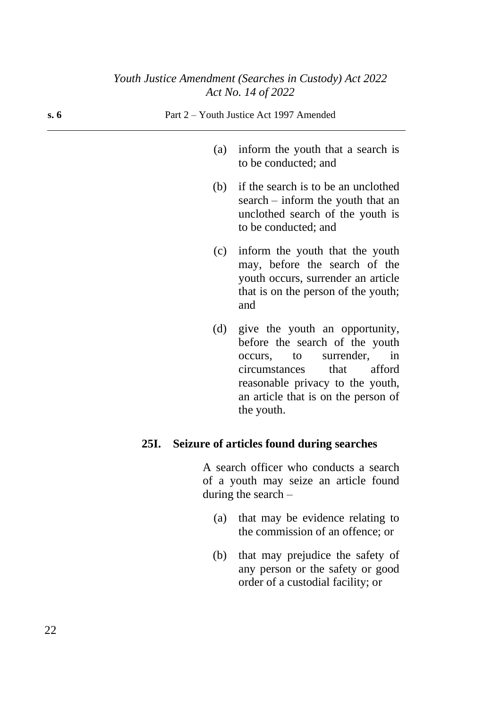| s. 6 | Part 2 – Youth Justice Act 1997 Amended |                                                                                                                                                      |  |  |  |
|------|-----------------------------------------|------------------------------------------------------------------------------------------------------------------------------------------------------|--|--|--|
|      | (a)                                     | inform the youth that a search is<br>to be conducted; and                                                                                            |  |  |  |
|      | (b)                                     | if the search is to be an unclothed<br>$search - inform$ the youth that an<br>unclothed search of the youth is<br>to be conducted; and               |  |  |  |
|      | (c)                                     | inform the youth that the youth<br>may, before the search of the<br>youth occurs, surrender an article<br>that is on the person of the youth;<br>and |  |  |  |
|      |                                         | (d) give the youth an opportunity,<br>before the search of the youth<br>coours to surrandor in                                                       |  |  |  |

before the search of the youth occurs, to surrender, in circumstances that afford reasonable privacy to the youth, an article that is on the person of the youth.

# **25I. Seizure of articles found during searches**

A search officer who conducts a search of a youth may seize an article found during the search –

- (a) that may be evidence relating to the commission of an offence; or
- (b) that may prejudice the safety of any person or the safety or good order of a custodial facility; or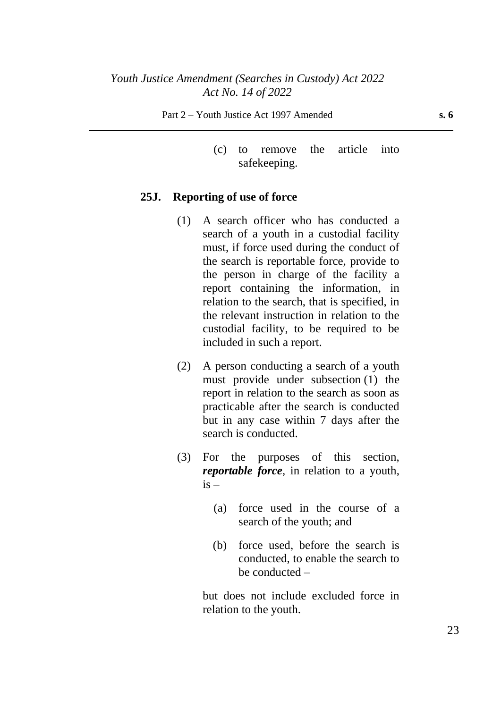(c) to remove the article into safekeeping.

#### **25J. Reporting of use of force**

- (1) A search officer who has conducted a search of a youth in a custodial facility must, if force used during the conduct of the search is reportable force, provide to the person in charge of the facility a report containing the information, in relation to the search, that is specified, in the relevant instruction in relation to the custodial facility, to be required to be included in such a report.
- (2) A person conducting a search of a youth must provide under subsection (1) the report in relation to the search as soon as practicable after the search is conducted but in any case within 7 days after the search is conducted.
- (3) For the purposes of this section, *reportable force*, in relation to a youth,  $i\bar{s}$  –
	- (a) force used in the course of a search of the youth; and
	- (b) force used, before the search is conducted, to enable the search to be conducted –

but does not include excluded force in relation to the youth.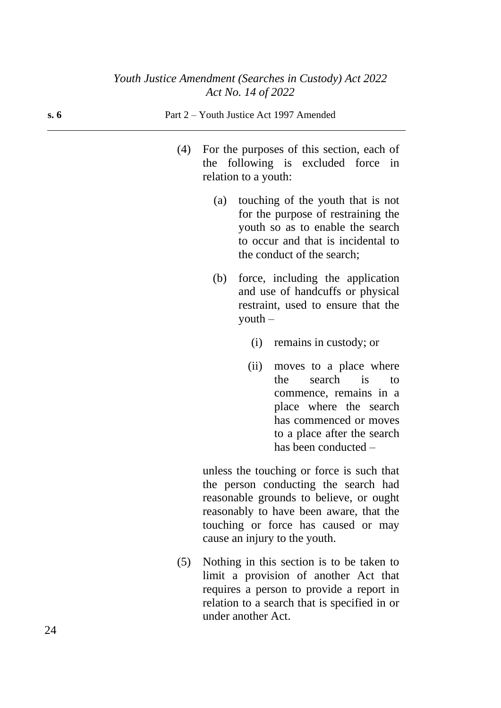| s. 6 | Part 2 – Youth Justice Act 1997 Amended |     |                      |                                                                                                                                                                                     |
|------|-----------------------------------------|-----|----------------------|-------------------------------------------------------------------------------------------------------------------------------------------------------------------------------------|
|      | (4)                                     |     | relation to a youth: | For the purposes of this section, each of<br>the following is excluded force in                                                                                                     |
|      |                                         |     |                      | (a) touching of the youth that is not<br>for the purpose of restraining the<br>youth so as to enable the search<br>to occur and that is incidental to<br>the conduct of the search; |
|      |                                         | (b) | $\gamma$ outh $-$    | force, including the application<br>and use of handcuffs or physical<br>restraint, used to ensure that the                                                                          |
|      |                                         |     |                      | (i) remains in custody; or                                                                                                                                                          |
|      |                                         |     | (ii)                 | moves to a place where<br>search is<br>the<br>to<br>commence, remains in a<br>place where the search                                                                                |

unless the touching or force is such that the person conducting the search had reasonable grounds to believe, or ought reasonably to have been aware, that the touching or force has caused or may cause an injury to the youth.

has commenced or moves to a place after the search

has been conducted –

(5) Nothing in this section is to be taken to limit a provision of another Act that requires a person to provide a report in relation to a search that is specified in or under another Act.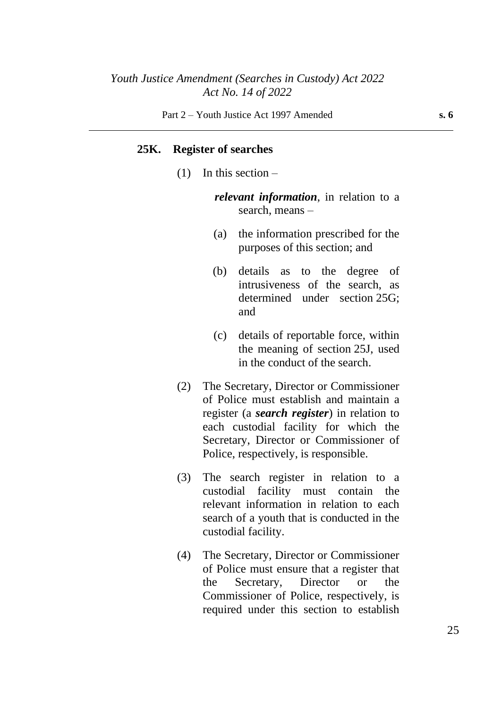#### **25K. Register of searches**

 $(1)$  In this section –

*relevant information*, in relation to a search, means –

- (a) the information prescribed for the purposes of this section; and
- (b) details as to the degree of intrusiveness of the search, as determined under section 25G; and
- (c) details of reportable force, within the meaning of section 25J, used in the conduct of the search.
- (2) The Secretary, Director or Commissioner of Police must establish and maintain a register (a *search register*) in relation to each custodial facility for which the Secretary, Director or Commissioner of Police, respectively, is responsible.
- (3) The search register in relation to a custodial facility must contain the relevant information in relation to each search of a youth that is conducted in the custodial facility.
- (4) The Secretary, Director or Commissioner of Police must ensure that a register that the Secretary, Director or the Commissioner of Police, respectively, is required under this section to establish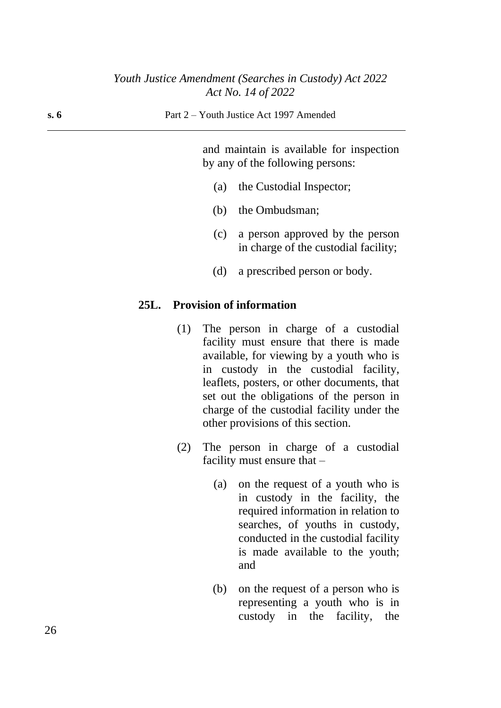and maintain is available for inspection by any of the following persons:

- (a) the Custodial Inspector;
- (b) the Ombudsman;
- (c) a person approved by the person in charge of the custodial facility;
- (d) a prescribed person or body.

### **25L. Provision of information**

- (1) The person in charge of a custodial facility must ensure that there is made available, for viewing by a youth who is in custody in the custodial facility, leaflets, posters, or other documents, that set out the obligations of the person in charge of the custodial facility under the other provisions of this section.
- (2) The person in charge of a custodial facility must ensure that –
	- (a) on the request of a youth who is in custody in the facility, the required information in relation to searches, of youths in custody, conducted in the custodial facility is made available to the youth; and
	- (b) on the request of a person who is representing a youth who is in custody in the facility, the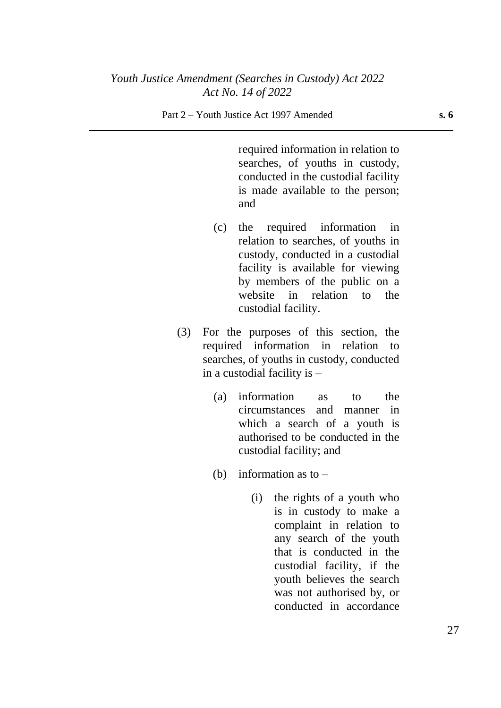required information in relation to searches, of youths in custody, conducted in the custodial facility is made available to the person; and

- (c) the required information in relation to searches, of youths in custody, conducted in a custodial facility is available for viewing by members of the public on a website in relation to the custodial facility.
- (3) For the purposes of this section, the required information in relation to searches, of youths in custody, conducted in a custodial facility is –
	- (a) information as to the circumstances and manner in which a search of a youth is authorised to be conducted in the custodial facility; and
	- (b) information as to  $-$ 
		- (i) the rights of a youth who is in custody to make a complaint in relation to any search of the youth that is conducted in the custodial facility, if the youth believes the search was not authorised by, or conducted in accordance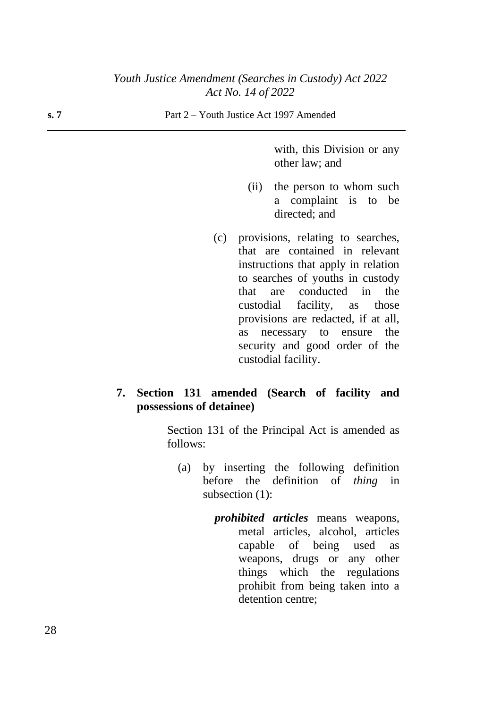with, this Division or any other law; and

- (ii) the person to whom such a complaint is to be directed; and
- (c) provisions, relating to searches, that are contained in relevant instructions that apply in relation to searches of youths in custody that are conducted in the custodial facility, as those provisions are redacted, if at all, as necessary to ensure the security and good order of the custodial facility.

## **7. Section 131 amended (Search of facility and possessions of detainee)**

Section 131 of the Principal Act is amended as follows:

- (a) by inserting the following definition before the definition of *thing* in subsection (1):
	- *prohibited articles* means weapons, metal articles, alcohol, articles capable of being used as weapons, drugs or any other things which the regulations prohibit from being taken into a detention centre;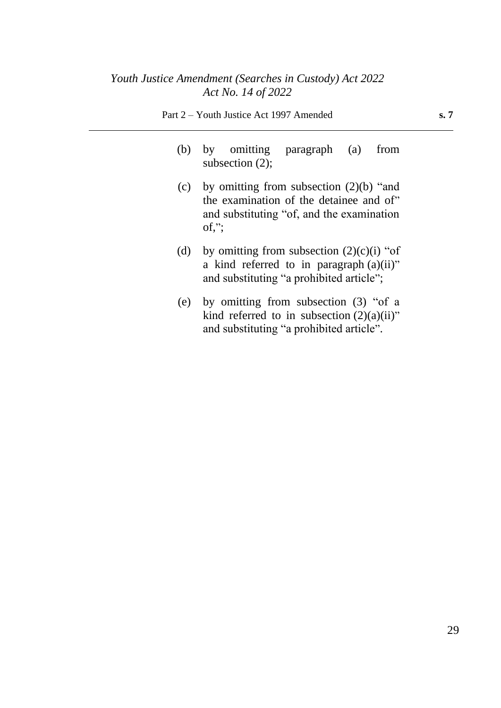- (b) by omitting paragraph (a) from subsection (2);
- (c) by omitting from subsection  $(2)(b)$  "and the examination of the detainee and of" and substituting "of, and the examination  $of,$ ";
- (d) by omitting from subsection  $(2)(c)(i)$  "of a kind referred to in paragraph (a)(ii)" and substituting "a prohibited article";
- (e) by omitting from subsection (3) "of a kind referred to in subsection  $(2)(a)(ii)$ " and substituting "a prohibited article".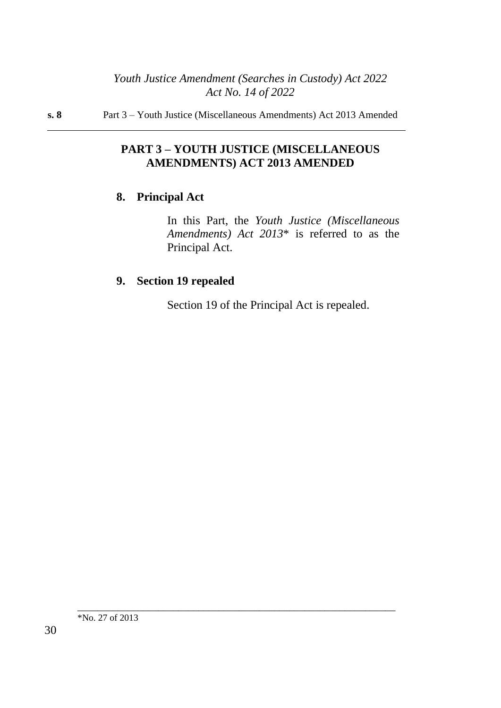#### **s. 8** Part 3 – Youth Justice (Miscellaneous Amendments) Act 2013 Amended

# **PART 3 – YOUTH JUSTICE (MISCELLANEOUS AMENDMENTS) ACT 2013 AMENDED**

# **8. Principal Act**

In this Part, the *Youth Justice (Miscellaneous Amendments) Act 2013*\* is referred to as the Principal Act.

# **9. Section 19 repealed**

Section 19 of the Principal Act is repealed.

\_\_\_\_\_\_\_\_\_\_\_\_\_\_\_\_\_\_\_\_\_\_\_\_\_\_\_\_\_\_\_\_\_\_\_\_\_\_\_\_\_\_\_\_\_\_\_\_\_\_\_\_\_\_\_\_\_\_\_\_\_\_\_